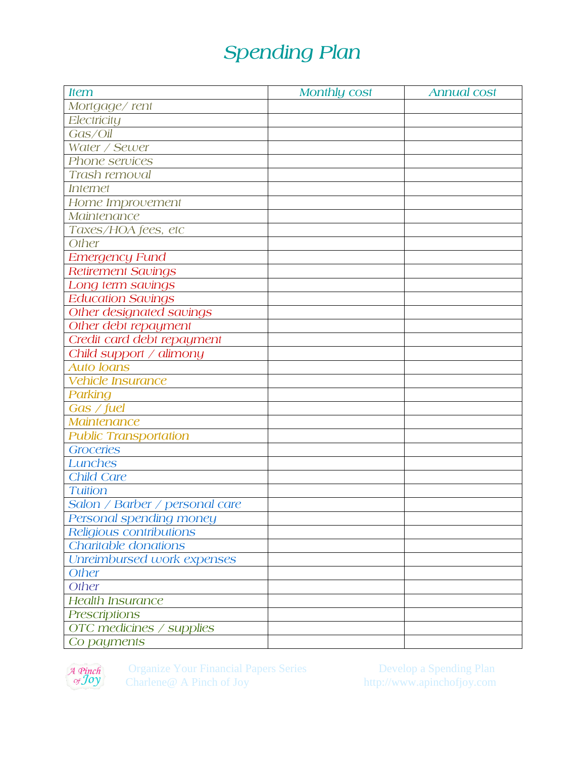## Spending Plan

| <b>Item</b>                    | <b>Monthly cost</b> | <b>Annual cost</b> |
|--------------------------------|---------------------|--------------------|
| Mortgage/rent                  |                     |                    |
| Electricity                    |                     |                    |
| Gas/Oil                        |                     |                    |
| Water / Sewer                  |                     |                    |
| Phone services                 |                     |                    |
| Trash removal                  |                     |                    |
| <b>Internet</b>                |                     |                    |
| Home Improvement               |                     |                    |
| Maintenance                    |                     |                    |
| Taxes/HOA fees, etc            |                     |                    |
| Other                          |                     |                    |
| <b>Emergency Fund</b>          |                     |                    |
| <b>Retirement Savings</b>      |                     |                    |
| Long term savings              |                     |                    |
| <b>Education Savings</b>       |                     |                    |
| Other designated savings       |                     |                    |
| Other debt repayment           |                     |                    |
| Credit card debt repayment     |                     |                    |
| Child support / alimony        |                     |                    |
| <b>Auto loans</b>              |                     |                    |
| <b>Vehicle Insurance</b>       |                     |                    |
| Parking                        |                     |                    |
| Gas / fuel                     |                     |                    |
| <b>Maintenance</b>             |                     |                    |
| <b>Public Transportation</b>   |                     |                    |
| Groceries                      |                     |                    |
| Lunches                        |                     |                    |
| Child Care                     |                     |                    |
| <b>Tuition</b>                 |                     |                    |
| Salon / Barber / personal care |                     |                    |
| Personal spending money        |                     |                    |
| Religious contributions        |                     |                    |
| Charitable donations           |                     |                    |
| Unreimbursed work expenses     |                     |                    |
| Other                          |                     |                    |
| Other                          |                     |                    |
| <b>Health Insurance</b>        |                     |                    |
| <b>Prescriptions</b>           |                     |                    |
| OTC medicines / supplies       |                     |                    |
| Co payments                    |                     |                    |



Organize Your Financial Papers Series Develop a Spending Plan<br>Charlene@ A Pinch of Joy http://www.apinchofjoy.com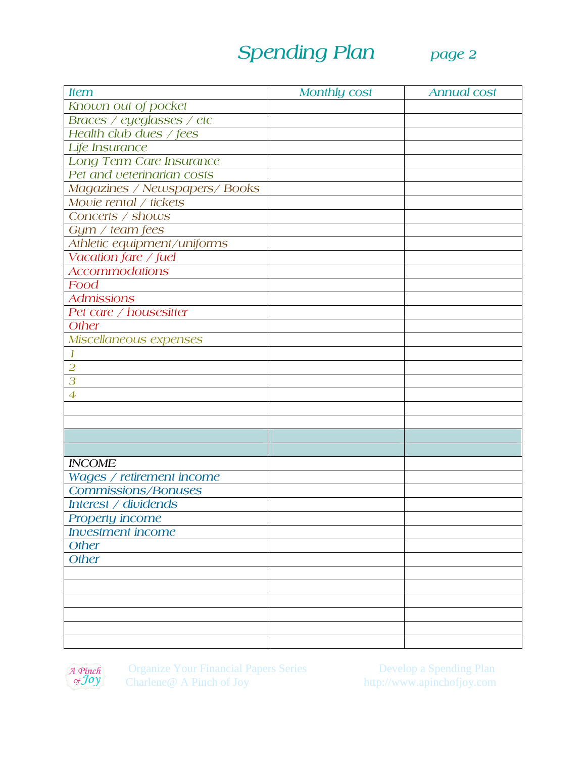## Spending Plan page 2



| <b>Item</b>                   | <b>Monthly cost</b> | <b>Annual cost</b> |
|-------------------------------|---------------------|--------------------|
| Known out of pocket           |                     |                    |
| Braces / eyeglasses / etc     |                     |                    |
| Health club dues / fees       |                     |                    |
| Life Insurance                |                     |                    |
| Long Term Care Insurance      |                     |                    |
| Pet and veterinarian costs    |                     |                    |
| Magazines / Newspapers/ Books |                     |                    |
| Movie rental / tickets        |                     |                    |
| Concerts / shows              |                     |                    |
| Gym / team fees               |                     |                    |
| Athletic equipment/uniforms   |                     |                    |
| Vacation fare / fuel          |                     |                    |
| <b>Accommodations</b>         |                     |                    |
| Food                          |                     |                    |
| <b>Admissions</b>             |                     |                    |
| Pet care / housesitter        |                     |                    |
| Other                         |                     |                    |
| Miscellaneous expenses        |                     |                    |
|                               |                     |                    |
| $\overline{2}$                |                     |                    |
| 3                             |                     |                    |
| $\overline{4}$                |                     |                    |
|                               |                     |                    |
|                               |                     |                    |
|                               |                     |                    |
|                               |                     |                    |
| <b>INCOME</b>                 |                     |                    |
| Wages / retirement income     |                     |                    |
| <b>Commissions/Bonuses</b>    |                     |                    |
| Interest / dividends          |                     |                    |
| Property income               |                     |                    |
| <b>Investment</b> income      |                     |                    |
| Other                         |                     |                    |
| Other                         |                     |                    |
|                               |                     |                    |
|                               |                     |                    |
|                               |                     |                    |
|                               |                     |                    |
|                               |                     |                    |
|                               |                     |                    |